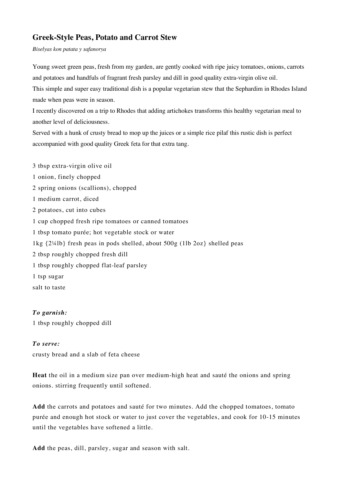## **Greek-Style Peas, Potato and Carrot Stew**

*Biselyas kon patata y safanorya*

Young sweet green peas, fresh from my garden, are gently cooked with ripe juicy tomatoes, onions, carrots and potatoes and handfuls of fragrant fresh parsley and dill in good quality extra-virgin olive oil.

This simple and super easy traditional dish is a popular vegetarian stew that the Sephardim in Rhodes Island made when peas were in season.

I recently discovered on a trip to Rhodes that adding artichokes transforms this healthy vegetarian meal to another level of deliciousness.

Served with a hunk of crusty bread to mop up the juices or a simple rice pilaf this rustic dish is perfect accompanied with good quality Greek feta for that extra tang.

3 tbsp extra-virgin olive oil 1 onion, finely chopped 2 spring onions (scallions), chopped 1 medium carrot, diced 2 potatoes, cut into cubes 1 cup chopped fresh ripe tomatoes or canned tomatoes 1 tbsp tomato purée; hot vegetable stock or water 1kg {2¼lb} fresh peas in pods shelled, about 500g (1lb 2oz} shelled peas 2 tbsp roughly chopped fresh dill 1 tbsp roughly chopped flat-leaf parsley 1 tsp sugar salt to taste

## *To garnish:*

1 tbsp roughly chopped dill

## *To serve:*

crusty bread and a slab of feta cheese

**Heat** the oil in a medium size pan over medium-high heat and sauté the onions and spring onions. stirring frequently until softened.

**Add** the carrots and potatoes and sauté for two minutes. Add the chopped tomatoes, tomato purée and enough hot stock or water to just cover the vegetables, and cook for 10-15 minutes until the vegetables have softened a little.

**Add** the peas, dill, parsley, sugar and season with salt.